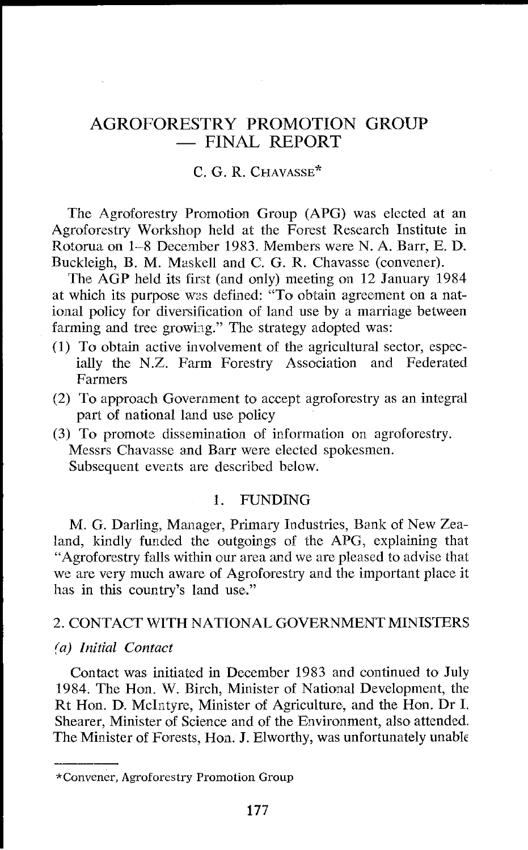# AGROFORESTRY PROMOTION GROUP - FINAL REPORT

#### C. G. R. CHAVASSE\*

The Agroforestry Promotion Group (APG) was elected at an Agroforestry Workshop held at the Forest Research Institute in Rotorua on 1-8 December 1983. Members were N. A. Barr, E. D. Buckleigh, B. M. Maskell and C. G. R. Chavasse (convener).

The AGP held its first (and only) meeting on 12 January 1984 at which its purpose was defined: "To obtain agreement on a national policy for diversification of land use by a marriage between farming and tree growing." The strategy adopted was:

- (1) To obtain active involvement of the agricultural sector, especially the N.Z. Farm Forestry Association and Federated Farmers
- (2) To approach Government to accept agroforestry as an integral part of national land use policy
- (3) To promote dissemination of information on agroforestry. Messrs Chavassc and Barr were elected spokesmen. Subsequent events are described below.

## 1. FUNDING

M. G. Darling, Manager, Primary Industries, Bank of New Zealand, kindly funded the outgoings of the APG, explaining that "Agroforestry falls within our area and we are pleased to advise that we are very much aware of Agroforestry and the important place it has in this country's land use."

## 2. CONTACT WlTH NATIONAL GOVERNMENT MINISTERS

#### (a) *Initial Contact*

Contact was initiated in December 1983 and continued to July 1984. The Hon. W. Birch, Minister of National Development, the Rt Hon. D. McIntyre, Minister of Agriculture, and the Hon. Dr I. Shearer, Minister of Science and of the Environment, also attended. The Minister of Forests, Hon. J. Elworthy, was unfortunately unable

<sup>&</sup>quot;Convener, Agroforestry Promotion Group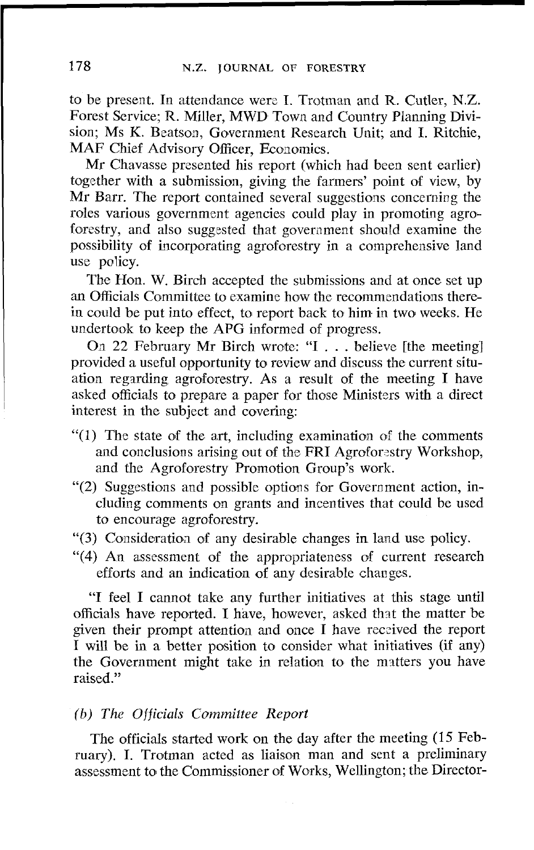to be present. In attendance werc I. Trotman and R. Cutler, N.Z. Forest Service; R. Miller, MWD Town and Country Planning Division; Ms K. Beatson, Government Research Unit; and I. Ritchie, MAF Chief Advisory Officer, Economics.

Mr Chavasse presented his report (which had been sent earlier) together with a submission, giving the farmers' point of view, by Mr Barr. The report contained several suggestions concerning the roles various government agencies could play in promoting agroforestry, and also suggested that government should examine the possibility of incorporating agroforestry in a comprehensive land use policy.

The Hon. W. Birch accepted the submissions and at once set up an Officials Committee to examine how the recommendations therein could be put into effect, to report back to him in two weeks. He undertook to keep the APG informed of progress.

On 22 February Mr Birch wrote: "I . . . believe [the meeting] provided a useful opportunity to review and discuss the current situation regsrding agroforestry. As a result of the meeting I have asked officials to prepare a paper for those Ministers with a direct interest in the subject and covering:

- "(1) The state of the art, including examination of the comments and conclusions arising out of the FRI Agroforestry Workshop, and the Agroforestry Promotion Group's work.
- " $(2)$  Suggestions and possible options for Government action, including comments **on** grants and incentives that could be used to encourage agroforestry.
- **"(3)** Consideratioa of any desirable changes in land use policy.
- "(4) An assessment of the appropriateness of current research efforts and an indication of any desirable changes.

"I feel I cannot take any further initiatives at this stage until officials have reported. I have, however, asked that the matter be given their prompt attention and once I have received the report I will be in a better position to consider what initiatives (if any) the Government might take in relation to the matters you have raised."

#### *(b) The* Officials *Committee Report*

The officials started work on the day after the meeting (15 February). I. Trotman acted as liaison man and sent a preliminary assessment to the Commissioner of Works, Wellington; the Director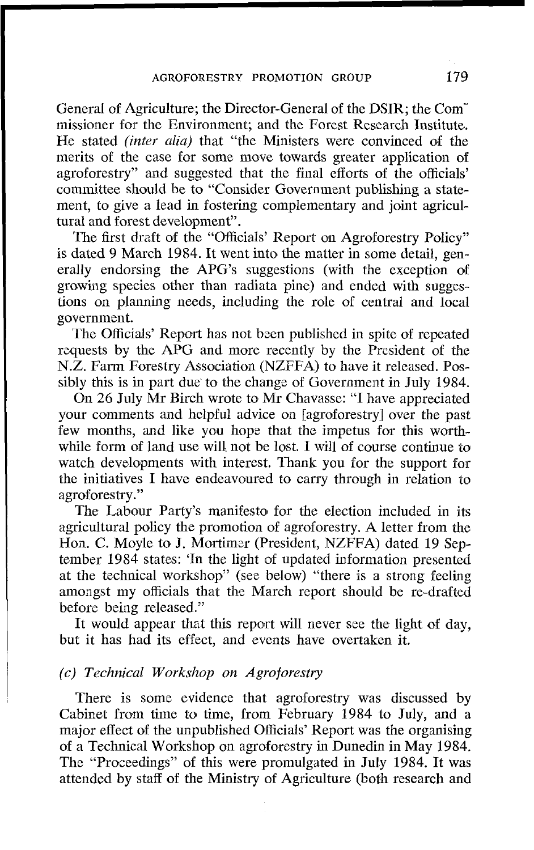General of Agriculture; the Director-General of the DSIR; the Commissioner for the Environment; and the Forest Research Institute. He stated *(inter* **alia)** that "the Ministers were convinced of the merits of the case for some move towards greater application of agroforestry" and suggested that the final efforts of the officials' committee should be to "Consider Government publishing a statement, to give a lead in fostering complementary and joint agricultural and forest development".

The first draft of the "Officials' Report on Agroforestry Policy" is dated 9 March 1984. It went into the matter in some detail, generally endorsing the APG's suggestions (with the exception of growing species other than radiata pine) and ended with suggestions on planning needs, including the role of central and local government.

The Officials' Report has not been published in spite of repeated requests by the APG and more recently by the President of the N.Z. Farm Forestry Association (NZFFA) to have it released. Possibly this is in part due to the change of Government in July 1984.

On 26 July Mr Birch wrote to Mr Chavasse: "I have appreciated your comments and helpful advice on [agroforestry] over the past few months, and like you hope that the impetus for this worthwhile form of land use will not be lost. I will of course continue to watch developments with interest. Thank you for the support for the initiatives I have endeavoured to carry through in relation to agroforestry."

The Labour Party's manifesto for the election included in its agricultural policy the promotion of agroforestry. A letter from the Hon. C. Moyle to J. Mortimer (President, NZFFA) dated 19 September 1984 states: 'In the light of updated information presented at the technical workshop" (see below) "there is a strong feeling amongst my officials that the March report should be re-drafted before being released."

It would appear that this report will never see the light of day, but it has had its effect, and events have overtaken it.

#### *(c) Technical Workshop on Agroforestry*

There is some evidence that agroforestry was discussed by Cabinet from time to time, from February 1984 to July, and a major effect of the unpublished Officials' Report was the organising of a Technical Workshop on agroforestry in Dunedin in May 1984. The "Proceedings" of this were promulgated in July 1984. It was attended by staff of the Ministry of Agriculture (both research and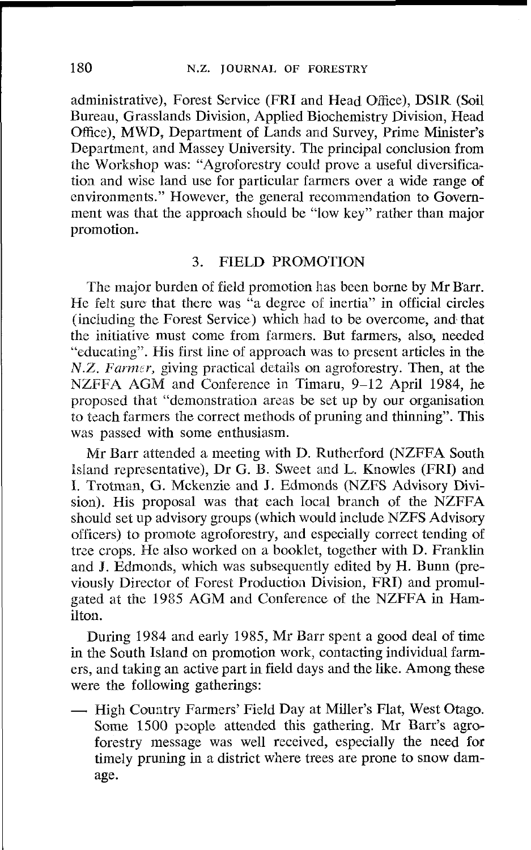administrative), Forest Service (FRI and Head Office), DSIR (Soil Bureau, Grasslands Division, Applied Biochemistry Division, Head Office), MWD, Department of Lands and Survey, Primc Minister's Department, and Massey University. The principal conclusion from the Workshop was: "Agroforestry could prove a useful diversification and wise land use for particular farmers over a wide range of environments." However, the general recommendation to Government was that the approach should be "low key" rather than major promotion.

#### **3.** FIELD PROMOTION

The major burden of field promotion has been borne by Mr Barr. He felt sure that there was "a degree of inertia" in official circles (including the Forest Service) which had to be overcome, and that the initiative must come from farmers. But farmers, also, needed "cducating". His first line of approach was to present articles in the *N.Z. Farmer, giving practical details on agroforestry. Then, at the* NZFFA AGM and Conference in Timaru, 9-12 April 1984, he proposed that "demonstration areas be set up by our organisation to teach farmers the correct methods of pruning and thinning". This was passed with some enthusiasm.

Mr Barr attended a meeting with D. Ruthcrford (NZFFA South lsland reprzsentative), Dr G. B. Sweet and L. Knowles (FRI) and I. Trotman, G. Mckenzie and J. Edmonds (NZFS Advisory Division). His proposal was that each local branch of the NZFFA should set up advisory groups (which would include NZFS Advisory officers) to promote agroforestry, and especially correct tending of tree crops. He also worked on a booklet, together with D. Franklin and J. Edmonds, which was subsequently edited by H. Bum (previously Director of Forest Production Division, FRI) and promulgated at the 1985 AGM and Conference of the NZFFA in Hamilton.

During 1984 and early 1985, Mr Barr spent a good deal of time in the South Island on promotion work, contacting individual farmers, and taking an active part in field days and the like. Among these were the following gatherings:

- High Country Farmers' Field Day at Miller's Flat, West Otago. Some 1500 people attended this gathering. Mr Barr's agroforestry message was well received, especially the need for timely pruning in a district where trees are prone to snow damage.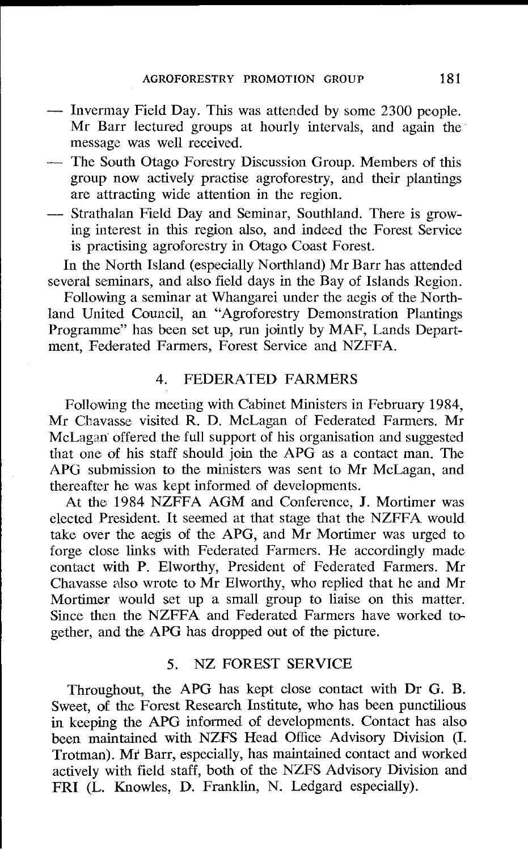- Invermay Field Day. This was attended by some 2300 people. Mr Barr lectured groups at hourly intervals, and again the message was well received.
- The South Otago Forestry Discussion Group. Members of this group now actively practise agroforestry, and their plantings are attracting wide attention in the region.
- Strathalan Field Day and Seminar, Southland. There is growing interest in this region also, and indeed the Forest Service is practising agroforestry in Otago Coast Forest.

In the North Island (especially Northland) Mr Barr has attended several seminars, and also field days in the Bay of Islands Region.

Following a seminar at Whangarei under the aegis of the Northland United Council, an "Agroforestry Demonstration Plantings Programme" has been set up, run jointly by MAF, Lands Department, Federated Farmers, Forest Service and NZFFA.

## 4. FEDERATED FARMERS

Following the meeting with Cabinet Ministers in February 1984. Mr Chavasse visited **R.** D. McLagan of Federated Farmers. Mr McLagan offered the full support of his organisation and suggested that one of his staff should join the APG as a contact man. The APG submission to the ministers was sent to Mr McLagan, and thereafter he was kept informed of developments.

At the 1984 NZFFA AGM and Conference, J. Mortimer was elected President. It seemed at that stage that the NZFFA would take over the aegis od the APG, and Mr Mortimer was urged to forge close links with Federated Farmers. He accordingly made contact with P. Elworthy, President of Federated Farmers. Mr Chavasse also wrote to Mr Elworthy, who replied that he and Mr Mortimer would set up a small group to liaise on this matter. Since then the NZFFA and Federated Farmers have worked together, and the APG has dropped out of the picture.

## 5. NZ FOREST SERVICE

Throughout, the APG has kept close contact with **DT** G. B. Sweet, of the Forest Research Institute, who has been punctilious in keeping the APG informed of developments. Contact has also been maintained with NZFS Head Office Advisory Division (I. Trotman). Mr Ban, especially, has maintained contact and worked actively with field staff, both of the NZFS Advisory Division and FRI (L. Knowles, D. Franklin, N. Ledgard especially).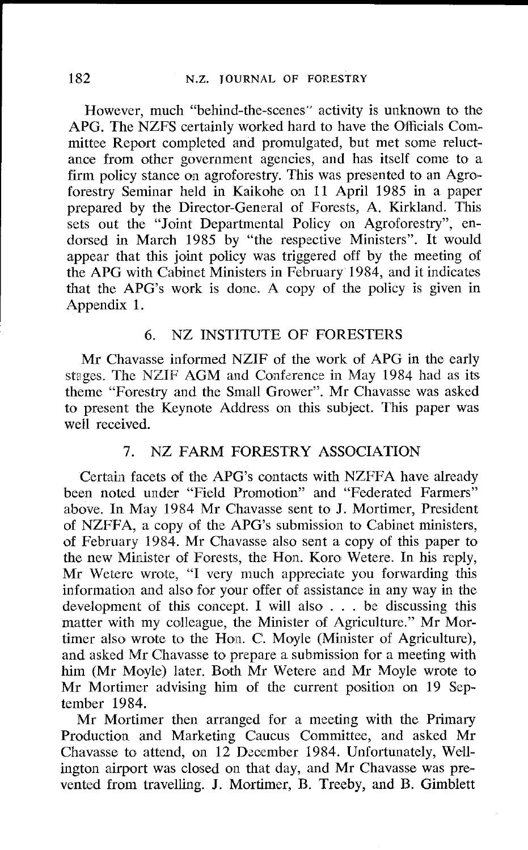However, much "behind-the-scenes" activity is unknown to the APG. The NZFS certainly worked hard to have the Officials Committee Report completed and promulgated, but met some reluctance from other government agencies, and has itself come to a firm policy stance on agroforestry. This was presented to an Agroforestry Seminar held in Kaikohe on 11 April 1985 in a paper prepared by the Director-Gencral of Forests, A. Kirkland. This sets out the "Joint Departmental Policy on Agroforestry", endorsed in March 1985 by "the respective Ministers". It would appear that this joint policy was triggered off by the meeting of the APG with Cabinet Ministers in February 1984, and it indicates that the APG's work is done. A copy of the policy is given in Appendix 1.

### 6. NZ lNST1TUTE OF FORESTERS

Mr Chavasse informed NZIF of the work of APG in the early stages. The NZIF AGM and Conference in May 1984 had as its theme "Forestry and the Small Grower". Mr Chavasse was asked to present the Keynote Address on this subject. This paper was well received.

## 7. NZ FARM FORESTRY ASSOCIATION

Certain facets of the APG's contacts with NZFFA have already been noted under "Field Promotion" and "Federated Farmers" above. In May 1984 Mr Chavasse sent to J. Mortimer, President of NZFFA, a copy of the APG's submission to Cabinet ministers, of February 1984. Mr Chavasse also sent a copy of this paper to the new Minister of Forests, the Hon. Koro Wetere. In his reply, Mr Wetere wrote, "I very much appreciate you forwarding this information and also for your offer of assistance in any way in the development of this concept. 1 will also . . . be discussing this matter with my colleague, the Minister of Agriculture." Mr Mortimer also wrote to the Hon. C. Moyle (Minister of Agriculture), and asked Mr Chavasse to prepare a submission for a meeting with him (Mr Moyle) later. Both Mr Wetere and Mr Moyle wrote to Mr Mortimer advising him of the current position on 19 September 1984.

Mr Mortimer then arranged for a meeting with the Primary Production and Marketing Caucus Committee, and asked Mr Chavasse to attend, on 12 December 1984. Unfortunately, Wellington airport was closed on that day, and Mr Chavasse was prevented from travelling. J. Mortimer, B. Treeby, and B. Gimblett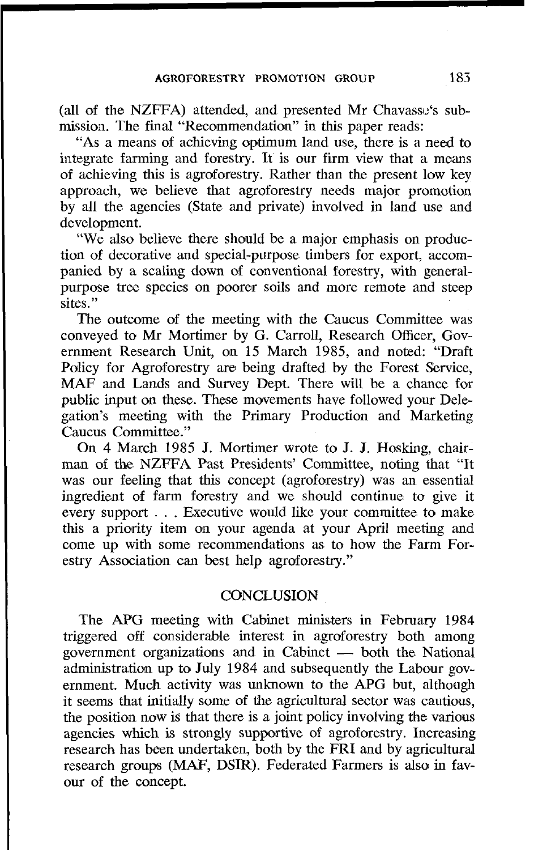(all of the NZFFA) attended, and presented Mr Chavassu's submissioa. The final "Recommendation" in this paper reads:

"As a means of achieving optimum land use, there is a need to integrate farming and forestry. It is our firm view that a means of achieving this is agroforestry. Rather than the present low key approach, we believe that agroforestry needs major promotion by all the agencies (State and private) involved in land use and development.

"We also believe there should be a major emphasis on production of decorative and special-purpose timbers for export, accompanied by a scaling down of conventional forestry, with generalpurpose tree species on poorer soils and more remote and steep sites."

The outcome of the meeting with the Caucus Committee was conveyed to Mr Mortimer by G. Carroll, Research Officer, Government Research Unit, on 15 March 1985, and noted: "Draft Policy for Agroforestry are being drafted by the Forest Service, MAF and Lands and Survey Dept. There will be a chance for public input on these. These movements have followed your Delegation's meeting with the Primary Production and Marketing Caucus Committee."

On 4 March 1985 J. Mortimer wrote to J. J. Hosking, chairman of the NZFFA Past Presidents' Committee, noting that "It was our feeling that this concept (agroforestry) was an essential ingredient of farm forestry and we should continue to give it every support . . . Executive would like your committee to make this a priority item on your agenda at your April meeting and come up with some recommendations as to how the Farm Forestry Association can best help agroforestry."

#### **CONCLUSION**

The APG meeting with Cabinet ministers in February 1984 triggered off considerable interest in agroforestry both among The APG meeting with Cabinet ministers in February 1984<br>triggered off considerable interest in agroforestry both among<br>government organizations and in Cabinet — both the National<br>edministration up to July 1984 and subseque administration up to July 1984 and subsequently the Labour government. Much activity was unknown to the APG but, although it seems that initially some of the agricultural sector was cautious, the position now is that there is a joint policy involving the various agencies which is strongly supportive of agroforestry. Increasing research has been undertaken, both by the FRI and by agricultural research groups (MAF, DSIR). Federated Farmers is also in favour of the concept.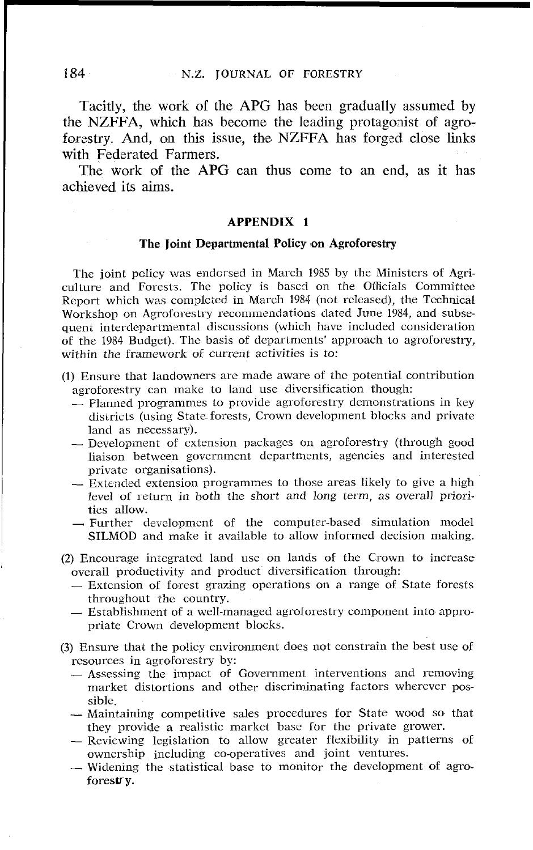Tacitly, the work of the APG has been gradually assumed by the NZFFA, which has become the leading protagonist of agroforestry. And, on this issue, the NZFFA has forged close links with Federated Farmers.

The work of the APG can thus come to an end, as it has achieved its aims.

#### **APPENDIX 1**

#### **The Joint Departmental Policy on Agroforestry**

The joint policy was endorsed in March 1985 by the Ministers of Agriculture and Forests. The policy is bascd on the Officials Committee Report which was completed in March 1984 (not rclcased), the Technical Workshop on Agroforestry recominendations dated June 1984, and subscqucnt interdcparimental discussions (which havc included consideration of the 1984 Budget). The basis of departments' approach to agroforestry, within the framework of current activities is to:

- (1) Ensure that landowners are made aware of the potential contribution agroforestry can makc to land use divcrsification though:
	- Planned programmes to provide agroforestry demonstrations in key districts (using Statc forests, Crown devclopment blocks and private land as necessary).
	- $-$  Development of extension packages on agroforestry (through good liaison between government departments, agencies and interested private organisations).
	- Extended extension programmes to those areas likely to give a high level of return in both the short and long term, as overall priorities allow.
	- $\rightarrow$  Further development of the computer-based simulation model SILMOD and make it available to allow inforrncd decision making.
- (2) Encourage inicgratcd land use on lands of the Crown to increase overall productivity and product diversification through:<br>
— Extension of forest grazing operations on a range of State forests
	- throughout thc country. - Extension of forest grazing operations on a range of State forests<br>throughout the country.<br>- Establishment of a well-managed agroforestry component into appro-
	- priate Crown development blocks.
- **(3)** Ensure that the policy environment does not constrain the best use of resources in agroforestry by:
	- Assessing thc impact of Government interventions and removing market distortions and other discriminating factors whcrever possible.
	- $-$  Maintaining competitive sales procedures for State wood so that they provide a realistic market base for the private grower.
	- Reviewing legislation to allow greater flexibility in patterns of ownership including co-operatives and joint ventures.
	- Widening the statistical base to monitor the development of agroforestry.